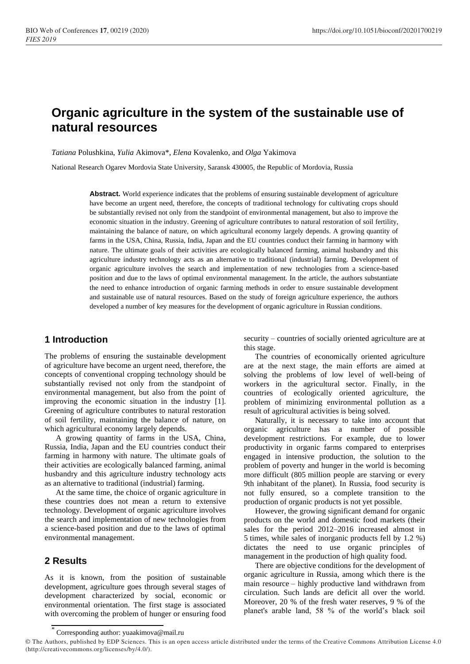# **Organic agriculture in the system of the sustainable use of natural resources**

*Tatiana* Polushkina, *Yulia* Akimova\*, *Elena* Kovalenko, and *Olga* Yakimova

National Research Ogarev Mordovia State University, Saransk 430005, the Republic of Mordovia, Russia

**Abstract.** World experience indicates that the problems of ensuring sustainable development of agriculture have become an urgent need, therefore, the concepts of traditional technology for cultivating crops should be substantially revised not only from the standpoint of environmental management, but also to improve the economic situation in the industry. Greening of agriculture contributes to natural restoration of soil fertility, maintaining the balance of nature, on which agricultural economy largely depends. A growing quantity of farms in the USA, China, Russia, India, Japan and the EU countries conduct their farming in harmony with nature. The ultimate goals of their activities are ecologically balanced farming, animal husbandry and this agriculture industry technology acts as an alternative to traditional (industrial) farming. Development of organic agriculture involves the search and implementation of new technologies from a science-based position and due to the laws of optimal environmental management. In the article, the authors substantiate the need to enhance introduction of organic farming methods in order to ensure sustainable development and sustainable use of natural resources. Based on the study of foreign agriculture experience, the authors developed a number of key measures for the development of organic agriculture in Russian conditions.

#### **1 Introduction**

The problems of ensuring the sustainable development of agriculture have become an urgent need, therefore, the concepts of conventional cropping technology should be substantially revised not only from the standpoint of environmental management, but also from the point of improving the economic situation in the industry [1]. Greening of agriculture contributes to natural restoration of soil fertility, maintaining the balance of nature, on which agricultural economy largely depends.

A growing quantity of farms in the USA, China, Russia, India, Japan and the EU countries conduct their farming in harmony with nature. The ultimate goals of their activities are ecologically balanced farming, animal husbandry and this agriculture industry technology acts as an alternative to traditional (industrial) farming.

At the same time, the choice of organic agriculture in these countries does not mean a return to extensive technology. Development of organic agriculture involves the search and implementation of new technologies from a science-based position and due to the laws of optimal environmental management.

#### **2 Results**

As it is known, from the position of sustainable development, agriculture goes through several stages of development characterized by social, economic or environmental orientation. The first stage is associated with overcoming the problem of hunger or ensuring food

security – countries of socially oriented agriculture are at this stage.

The countries of economically oriented agriculture are at the next stage, the main efforts are aimed at solving the problems of low level of well-being of workers in the agricultural sector. Finally, in the countries of ecologically oriented agriculture, the problem of minimizing environmental pollution as a result of agricultural activities is being solved.

Naturally, it is necessary to take into account that organic agriculture has a number of possible development restrictions. For example, due to lower productivity in organic farms compared to enterprises engaged in intensive production, the solution to the problem of poverty and hunger in the world is becoming more difficult (805 million people are starving or every 9th inhabitant of the planet). In Russia, food security is not fully ensured, so a complete transition to the production of organic products is not yet possible.

However, the growing significant demand for organic products on the world and domestic food markets (their sales for the period 2012–2016 increased almost in 5 times, while sales of inorganic products fell by 1.2 %) dictates the need to use organic principles of management in the production of high quality food.

There are objective conditions for the development of organic agriculture in Russia, among which there is the main resource – highly productive land withdrawn from circulation. Such lands are deficit all over the world. Moreover, 20 % of the fresh water reserves, 9 % of the planet's arable land, 58 % of the world's black soil

<sup>\*</sup> Corresponding author: yuaakimova@mail.ru

<sup>©</sup> The Authors, published by EDP Sciences. This is an open access article distributed under the terms of the Creative Commons Attribution License 4.0 (http://creativecommons.org/licenses/by/4.0/).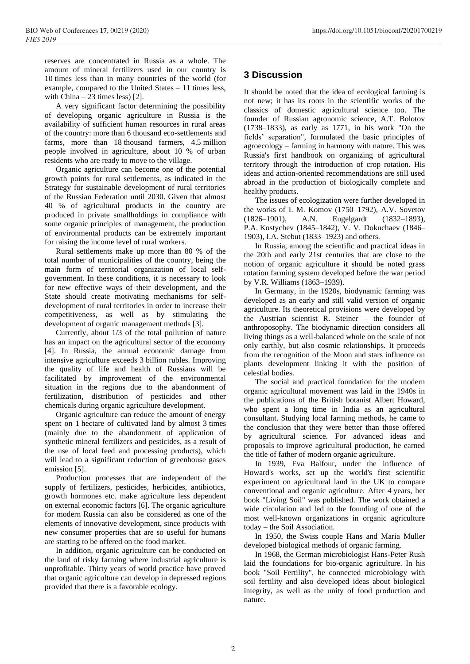reserves are concentrated in Russia as a whole. The amount of mineral fertilizers used in our country is 10 times less than in many countries of the world (for example, compared to the United States – 11 times less, with China  $-23$  times less) [2].

A very significant factor determining the possibility of developing organic agriculture in Russia is the availability of sufficient human resources in rural areas of the country: more than 6 thousand eco-settlements and farms, more than 18 thousand farmers, 4.5 million people involved in agriculture, about 10 % of urban residents who are ready to move to the village.

Organic agriculture can become one of the potential growth points for rural settlements, as indicated in the Strategy for sustainable development of rural territories of the Russian Federation until 2030. Given that almost 40 % of agricultural products in the country are produced in private smallholdings in compliance with some organic principles of management, the production of environmental products can be extremely important for raising the income level of rural workers.

Rural settlements make up more than 80 % of the total number of municipalities of the country, being the main form of territorial organization of local selfgovernment. In these conditions, it is necessary to look for new effective ways of their development, and the State should create motivating mechanisms for selfdevelopment of rural territories in order to increase their competitiveness, as well as by stimulating the development of organic management methods [3].

Currently, about 1/3 of the total pollution of nature has an impact on the agricultural sector of the economy [4]. In Russia, the annual economic damage from intensive agriculture exceeds 3 billion rubles. Improving the quality of life and health of Russians will be facilitated by improvement of the environmental situation in the regions due to the abandonment of fertilization, distribution of pesticides and other chemicals during organic agriculture development.

Organic agriculture can reduce the amount of energy spent on 1 hectare of cultivated land by almost 3 times (mainly due to the abandonment of application of synthetic mineral fertilizers and pesticides, as a result of the use of local feed and processing products), which will lead to a significant reduction of greenhouse gases emission [5].

Production processes that are independent of the supply of fertilizers, pesticides, herbicides, antibiotics, growth hormones etc. make agriculture less dependent on external economic factors [6]. The organic agriculture for modern Russia can also be considered as one of the elements of innovative development, since products with new consumer properties that are so useful for humans are starting to be offered on the food market.

In addition, organic agriculture can be conducted on the land of risky farming where industrial agriculture is unprofitable. Thirty years of world practice have proved that organic agriculture can develop in depressed regions provided that there is a favorable ecology.

#### **3 Discussion**

It should be noted that the idea of ecological farming is not new; it has its roots in the scientific works of the classics of domestic agricultural science too. The founder of Russian agronomic science, A.T. Bolotov (1738–1833), as early as 1771, in his work "On the fields' separation", formulated the basic principles of agroecology – farming in harmony with nature. This was Russia's first handbook on organizing of agricultural territory through the introduction of crop rotation. His ideas and action-oriented recommendations are still used abroad in the production of biologically complete and healthy products.

The issues of ecologization were further developed in the works of I. M. Komov (1750–1792), A.V. Sovetov (1826–1901), A.N. Engelgardt (1832–1893), P.A. Kostychev (1845–1842), V. V. Dokuchaev (1846– 1903), I.A. Stebut (1833–1923) and others.

In Russia, among the scientific and practical ideas in the 20th and early 21st centuries that are close to the notion of organic agriculture it should be noted grass rotation farming system developed before the war period by V.R. Williams (1863–1939).

In Germany, in the 1920s, biodynamic farming was developed as an early and still valid version of organic agriculture. Its theoretical provisions were developed by the Austrian scientist R. Steiner – the founder of anthroposophy. The biodynamic direction considers all living things as a well-balanced whole on the scale of not only earthly, but also cosmic relationships. It proceeds from the recognition of the Moon and stars influence on plants development linking it with the position of celestial bodies.

The social and practical foundation for the modern organic agricultural movement was laid in the 1940s in the publications of the British botanist Albert Howard, who spent a long time in India as an agricultural consultant. Studying local farming methods, he came to the conclusion that they were better than those offered by agricultural science. For advanced ideas and proposals to improve agricultural production, he earned the title of father of modern organic agriculture.

In 1939, Eva Balfour, under the influence of Howard's works, set up the world's first scientific experiment on agricultural land in the UK to compare conventional and organic agriculture. After 4 years, her book "Living Soil" was published. The work obtained a wide circulation and led to the founding of one of the most well-known organizations in organic agriculture today – the Soil Association.

In 1950, the Swiss couple Hans and Maria Muller developed biological methods of organic farming.

In 1968, the German microbiologist Hans-Peter Rush laid the foundations for bio-organic agriculture. In his book "Soil Fertility", he connected microbiology with soil fertility and also developed ideas about biological integrity, as well as the unity of food production and nature.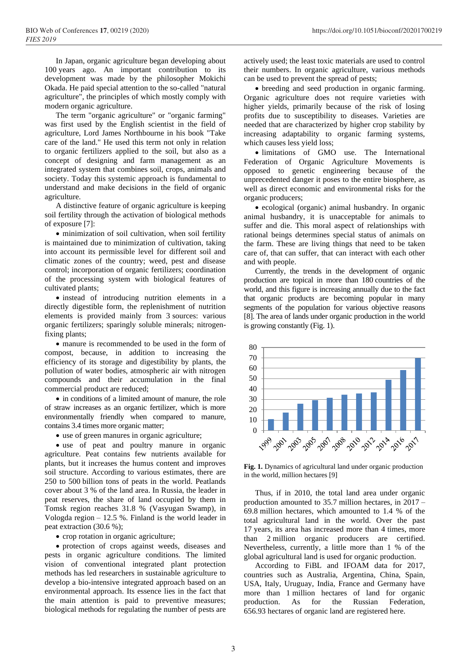In Japan, organic agriculture began developing about 100 years ago. An important contribution to its development was made by the philosopher Mokichi Okada. He paid special attention to the so-called "natural agriculture", the principles of which mostly comply with modern organic agriculture.

The term "organic agriculture" or "organic farming" was first used by the English scientist in the field of agriculture, Lord James Northbourne in his book "Take care of the land." He used this term not only in relation to organic fertilizers applied to the soil, but also as a concept of designing and farm management as an integrated system that combines soil, crops, animals and society. Today this systemic approach is fundamental to understand and make decisions in the field of organic agriculture.

A distinctive feature of organic agriculture is keeping soil fertility through the activation of biological methods of exposure [7]:

• minimization of soil cultivation, when soil fertility is maintained due to minimization of cultivation, taking into account its permissible level for different soil and climatic zones of the country; weed, pest and disease control; incorporation of organic fertilizers; coordination of the processing system with biological features of cultivated plants;

• instead of introducing nutrition elements in a directly digestible form, the replenishment of nutrition elements is provided mainly from 3 sources: various organic fertilizers; sparingly soluble minerals; nitrogenfixing plants;

• manure is recommended to be used in the form of compost, because, in addition to increasing the efficiency of its storage and digestibility by plants, the pollution of water bodies, atmospheric air with nitrogen compounds and their accumulation in the final commercial product are reduced;

• in conditions of a limited amount of manure, the role of straw increases as an organic fertilizer, which is more environmentally friendly when compared to manure, contains 3.4 times more organic matter;

• use of green manures in organic agriculture;

• use of peat and poultry manure in organic agriculture. Peat contains few nutrients available for plants, but it increases the humus content and improves soil structure. According to various estimates, there are 250 to 500 billion tons of peats in the world. Peatlands cover about 3 % of the land area. In Russia, the leader in peat reserves, the share of land occupied by them in Tomsk region reaches 31.8 % (Vasyugan Swamp), in Vologda region – 12.5 %. Finland is the world leader in peat extraction (30.6 %);

• crop rotation in organic agriculture;

• protection of crops against weeds, diseases and pests in organic agriculture conditions. The limited vision of conventional integrated plant protection methods has led researchers in sustainable agriculture to develop a bio-intensive integrated approach based on an environmental approach. Its essence lies in the fact that the main attention is paid to preventive measures; biological methods for regulating the number of pests are

actively used; the least toxic materials are used to control their numbers. In organic agriculture, various methods can be used to prevent the spread of pests;

• breeding and seed production in organic farming. Organic agriculture does not require varieties with higher yields, primarily because of the risk of losing profits due to susceptibility to diseases. Varieties are needed that are characterized by higher crop stability by increasing adaptability to organic farming systems, which causes less yield loss;

• limitations of GMO use. The International Federation of Organic Agriculture Movements is opposed to genetic engineering because of the unprecedented danger it poses to the entire biosphere, as well as direct economic and environmental risks for the organic producers;

• ecological (organic) animal husbandry. In organic animal husbandry, it is unacceptable for animals to suffer and die. This moral aspect of relationships with rational beings determines special status of animals on the farm. These are living things that need to be taken care of, that can suffer, that can interact with each other and with people.

Currently, the trends in the development of organic production are topical in more than 180 countries of the world, and this figure is increasing annually due to the fact that organic products are becoming popular in many segments of the population for various objective reasons [8]. The area of lands under organic production in the world is growing constantly (Fig. 1).



**Fig. 1.** Dynamics of agricultural land under organic production in the world, million hectares [9]

Thus, if in 2010, the total land area under organic production amounted to 35.7 million hectares, in 2017 – 69.8 million hectares, which amounted to 1.4 % of the total agricultural land in the world. Over the past 17 years, its area has increased more than 4 times, more than 2 million organic producers are certified. Nevertheless, currently, a little more than 1 % of the global agricultural land is used for organic production.

According to FiBL and IFOAM data for 2017, countries such as Australia, Argentina, China, Spain, USA, Italy, Uruguay, India, France and Germany have more than 1 million hectares of land for organic production. As for the Russian Federation, 656.93 hectares of organic land are registered here.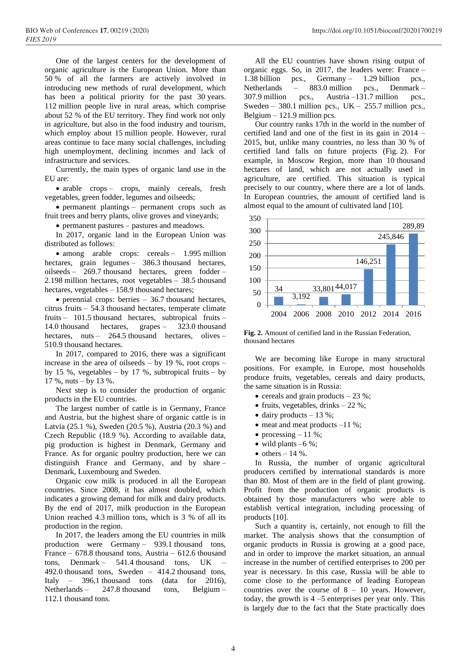One of the largest centers for the development of organic agriculture is the European Union. More than 50 % of all the farmers are actively involved in introducing new methods of rural development, which has been a political priority for the past 30 years. 112 million people live in rural areas, which comprise about 52 % of the EU territory. They find work not only in agriculture, but also in the food industry and tourism, which employ about 15 million people. However, rural areas continue to face many social challenges, including high unemployment, declining incomes and lack of infrastructure and services.

Currently, the main types of organic land use in the EU are:

• arable crops – crops, mainly cereals, fresh vegetables, green fodder, legumes and oilseeds;

• permanent plantings – permanent crops such as fruit trees and berry plants, olive groves and vineyards;

• permanent pastures – pastures and meadows.

In 2017, organic land in the European Union was distributed as follows:

• among arable crops: cereals – 1.995 million hectares, grain legumes - 386.3 thousand hectares, oilseeds – 269.7 thousand hectares, green fodder – 2.198 million hectares, root vegetables – 38.5 thousand hectares, vegetables – 158.9 thousand hectares;

• perennial crops: berries – 36.7 thousand hectares, citrus fruits – 54.3 thousand hectares, temperate climate fruits – 101.5 thousand hectares, subtropical fruits – 14.0 thousand hectares, grapes – 323.0 thousand hectares, nuts – 264.5 thousand hectares, olives – 510.9 thousand hectares.

In 2017, compared to 2016, there was a significant increase in the area of oilseeds – by 19 %, root crops – by 15 %, vegetables – by 17 %, subtropical fruits – by 17 %, nuts – by 13 %.

Next step is to consider the production of organic products in the EU countries.

The largest number of cattle is in Germany, France and Austria, but the highest share of organic cattle is in Latvia (25.1 %), Sweden (20.5 %), Austria (20.3 %) and Czech Republic (18.9 %). According to available data, pig production is highest in Denmark, Germany and France. As for organic poultry production, here we can distinguish France and Germany, and by share – Denmark, Luxembourg and Sweden.

Organic cow milk is produced in all the European countries. Since 2008, it has almost doubled, which indicates a growing demand for milk and dairy products. By the end of 2017, milk production in the European Union reached 4.3 million tons, which is 3 % of all its production in the region.

In 2017, the leaders among the EU countries in milk production were Germany – 939.1 thousand tons, France –  $678.8$  thousand tons, Austria –  $612.6$  thousand tons, Denmark – 541.4 thousand tons, UK – 492.0 thousand tons, Sweden – 414.2 thousand tons, Italy – 396,1 thousand tons (data for 2016), Netherlands – 247.8 thousand tons, Belgium – 112.1 thousand tons.

All the EU countries have shown rising output of organic eggs. So, in 2017, the leaders were: France – 1.38 billion pcs., Germany – 1.29 billion pcs., Netherlands – 883.0 million pcs., Denmark – 307.9 million pcs., Austria –131.7 million pcs., Sweden – 380.1 million pcs., UK – 255.7 million pcs., Belgium – 121.9 million pcs.

Our country ranks 17th in the world in the number of certified land and one of the first in its gain in 2014 – 2015, but, unlike many countries, no less than 30 % of certified land falls on future projects (Fig. 2). For example, in Moscow Region, more than 10 thousand hectares of land, which are not actually used in agriculture, are certified. This situation is typical precisely to our country, where there are a lot of lands. In European countries, the amount of certified land is almost equal to the amount of cultivated land [10].



**Fig. 2.** Amount of certified land in the Russian Federation, thousand hectares

We are becoming like Europe in many structural positions. For example, in Europe, most households produce fruits, vegetables, cereals and dairy products, the same situation is in Russia:

- cereals and grain products  $-23\%$ ;
- fruits, vegetables, drinks  $-22\%$ ;
- dairy products  $-13$  %;
- meat and meat products  $-11\%$ ;
- processing  $-11\%$ ;
- wild plants  $-6\%$ ;
- others  $-14\%$ .

In Russia, the number of organic agricultural producers certified by international standards is more than 80. Most of them are in the field of plant growing. Profit from the production of organic products is obtained by those manufacturers who were able to establish vertical integration, including processing of products [10].

Such a quantity is, certainly, not enough to fill the market. The analysis shows that the consumption of organic products in Russia is growing at a good pace, and in order to improve the market situation, an annual increase in the number of certified enterprises to 200 per year is necessary. In this case, Russia will be able to come close to the performance of leading European countries over the course of  $8 - 10$  years. However, today, the growth is 4 –5 enterprises per year only. This is largely due to the fact that the State practically does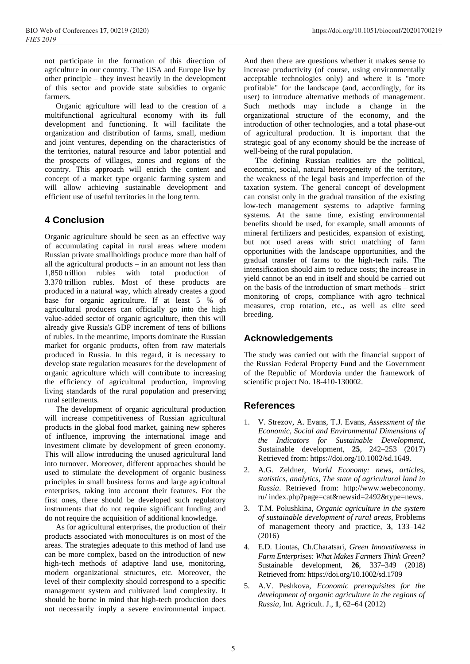not participate in the formation of this direction of agriculture in our country. The USA and Europe live by other principle – they invest heavily in the development of this sector and provide state subsidies to organic farmers.

Organic agriculture will lead to the creation of a multifunctional agricultural economy with its full development and functioning. It will facilitate the organization and distribution of farms, small, medium and joint ventures, depending on the characteristics of the territories, natural resource and labor potential and the prospects of villages, zones and regions of the country. This approach will enrich the content and concept of a market type organic farming system and will allow achieving sustainable development and efficient use of useful territories in the long term.

## **4 Conclusion**

Organic agriculture should be seen as an effective way of accumulating capital in rural areas where modern Russian private smallholdings produce more than half of all the agricultural products  $-$  in an amount not less than 1,850 trillion rubles with total production of 3.370 trillion rubles. Most of these products are produced in a natural way, which already creates a good base for organic agriculture. If at least 5 % of agricultural producers can officially go into the high value-added sector of organic agriculture, then this will already give Russia's GDP increment of tens of billions of rubles. In the meantime, imports dominate the Russian market for organic products, often from raw materials produced in Russia. In this regard, it is necessary to develop state regulation measures for the development of organic agriculture which will contribute to increasing the efficiency of agricultural production, improving living standards of the rural population and preserving rural settlements.

The development of organic agricultural production will increase competitiveness of Russian agricultural products in the global food market, gaining new spheres of influence, improving the international image and investment climate by development of green economy. This will allow introducing the unused agricultural land into turnover. Moreover, different approaches should be used to stimulate the development of organic business principles in small business forms and large agricultural enterprises, taking into account their features. For the first ones, there should be developed such regulatory instruments that do not require significant funding and do not require the acquisition of additional knowledge.

As for agricultural enterprises, the production of their products associated with monocultures is on most of the areas. The strategies adequate to this method of land use can be more complex, based on the introduction of new high-tech methods of adaptive land use, monitoring, modern organizational structures, etc. Moreover, the level of their complexity should correspond to a specific management system and cultivated land complexity. It should be borne in mind that high-tech production does not necessarily imply a severe environmental impact.

And then there are questions whether it makes sense to increase productivity (of course, using environmentally acceptable technologies only) and where it is "more profitable" for the landscape (and, accordingly, for its user) to introduce alternative methods of management. Such methods may include a change in the organizational structure of the economy, and the introduction of other technologies, and a total phase-out of agricultural production. It is important that the strategic goal of any economy should be the increase of well-being of the rural population.

The defining Russian realities are the political, economic, social, natural heterogeneity of the territory, the weakness of the legal basis and imperfection of the taxation system. The general concept of development can consist only in the gradual transition of the existing low-tech management systems to adaptive farming systems. At the same time, existing environmental benefits should be used, for example, small amounts of mineral fertilizers and pesticides, expansion of existing, but not used areas with strict matching of farm opportunities with the landscape opportunities, and the gradual transfer of farms to the high-tech rails. The intensification should aim to reduce costs; the increase in yield cannot be an end in itself and should be carried out on the basis of the introduction of smart methods – strict monitoring of crops, compliance with agro technical measures, crop rotation, etc., as well as elite seed breeding.

# **Acknowledgements**

The study was carried out with the financial support of the Russian Federal Property Fund and the Government of the Republic of Mordovia under the framework of scientific project No. 18-410-130002.

## **References**

- 1. [V. Strezov,](https://onlinelibrary.wiley.com/action/doSearch?ContribAuthorStored=Strezov%2C+Vladimir) [A. Evans,](https://onlinelibrary.wiley.com/action/doSearch?ContribAuthorStored=Evans%2C+Annette) [T.J. Evans,](https://onlinelibrary.wiley.com/action/doSearch?ContribAuthorStored=Evans%2C+Tim+J) *Assessment of the Economic, Social and Environmental Dimensions of the Indicators for Sustainable Development*, Sustainable development, **25**[, 2](https://onlinelibrary.wiley.com/toc/10991719/2017/25/3)42–253 (2017) Retrieved from: [https://doi.org/10.1002/sd.1649.](https://doi.org/10.1002/sd.1649)
- 2. A.G. Zeldner, *World Economy: news, articles, statistics, analytics*, *The state of agricultural land in Russia*. Retrieved from: [http://www.webeconomy.](http://www.webeconomy.ru/%20index.php?page=cat&newsid=2492&type=news) [ru/ index.php?page=cat&newsid=2492&type=news.](http://www.webeconomy.ru/%20index.php?page=cat&newsid=2492&type=news)
- 3. Т.М. Polushkina, *Organic agriculture in the system of sustainable development of rural areas*, Problems of management theory and practice, **3**, 133–142 (2016)
- 4. [E.D. Lioutas,](https://onlinelibrary.wiley.com/action/doSearch?ContribAuthorStored=Lioutas%2C+Evagelos+D) [Ch.Charatsari,](https://onlinelibrary.wiley.com/action/doSearch?ContribAuthorStored=Charatsari%2C+Chrysanthi) *Green Innovativeness in Farm Enterprises: What Makes Farmers Think Green?* Sustainable development, **26**, 337–349 (2018) Retrieved from[: https://doi.org/10.1002/sd.1709](https://doi.org/10.1002/sd.1709)
- 5. A.V. Peshkova, *Economic prerequisites for the development of organic agriculture in the regions of Russia,* Int. Agricult. J., **1**, 62–64 (2012)